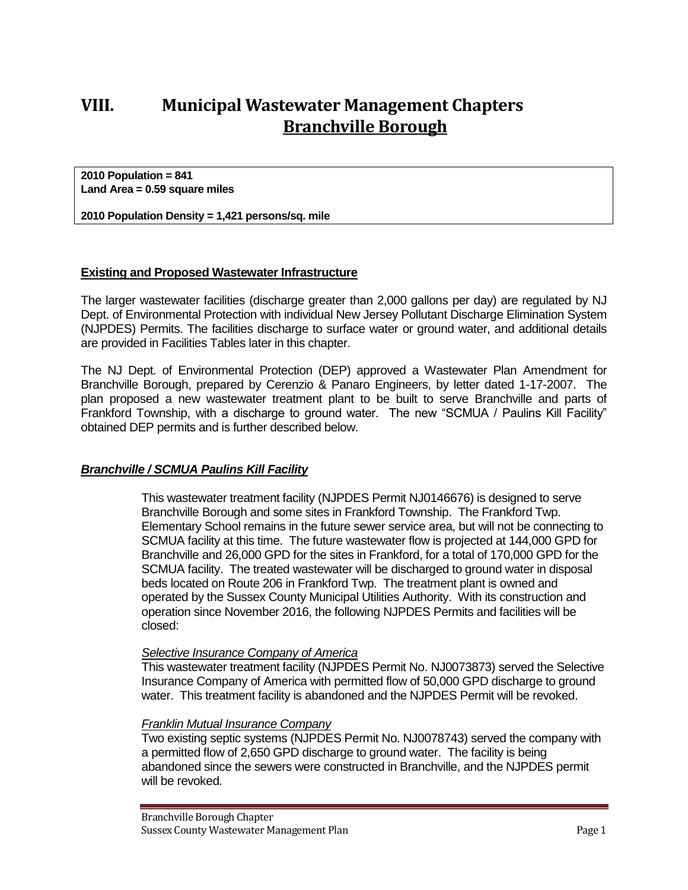# **VIII. Municipal Wastewater Management Chapters Branchville Borough**

**2010 Population = 841 Land Area = 0.59 square miles**

**2010 Population Density = 1,421 persons/sq. mile**

### **Existing and Proposed Wastewater Infrastructure**

The larger wastewater facilities (discharge greater than 2,000 gallons per day) are regulated by NJ Dept. of Environmental Protection with individual New Jersey Pollutant Discharge Elimination System (NJPDES) Permits. The facilities discharge to surface water or ground water, and additional details are provided in Facilities Tables later in this chapter.

The NJ Dept. of Environmental Protection (DEP) approved a Wastewater Plan Amendment for Branchville Borough, prepared by Cerenzio & Panaro Engineers, by letter dated 1-17-2007. The plan proposed a new wastewater treatment plant to be built to serve Branchville and parts of Frankford Township, with a discharge to ground water. The new "SCMUA / Paulins Kill Facility" obtained DEP permits and is further described below.

#### *Branchville / SCMUA Paulins Kill Facility*

This wastewater treatment facility (NJPDES Permit NJ0146676) is designed to serve Branchville Borough and some sites in Frankford Township. The Frankford Twp. Elementary School remains in the future sewer service area, but will not be connecting to SCMUA facility at this time. The future wastewater flow is projected at 144,000 GPD for Branchville and 26,000 GPD for the sites in Frankford, for a total of 170,000 GPD for the SCMUA facility. The treated wastewater will be discharged to ground water in disposal beds located on Route 206 in Frankford Twp. The treatment plant is owned and operated by the Sussex County Municipal Utilities Authority. With its construction and operation since November 2016, the following NJPDES Permits and facilities will be closed:

#### *Selective Insurance Company of America*

This wastewater treatment facility (NJPDES Permit No. NJ0073873) served the Selective Insurance Company of America with permitted flow of 50,000 GPD discharge to ground water. This treatment facility is abandoned and the NJPDES Permit will be revoked.

#### *Franklin Mutual Insurance Company*

Two existing septic systems (NJPDES Permit No. NJ0078743) served the company with a permitted flow of 2,650 GPD discharge to ground water. The facility is being abandoned since the sewers were constructed in Branchville, and the NJPDES permit will be revoked.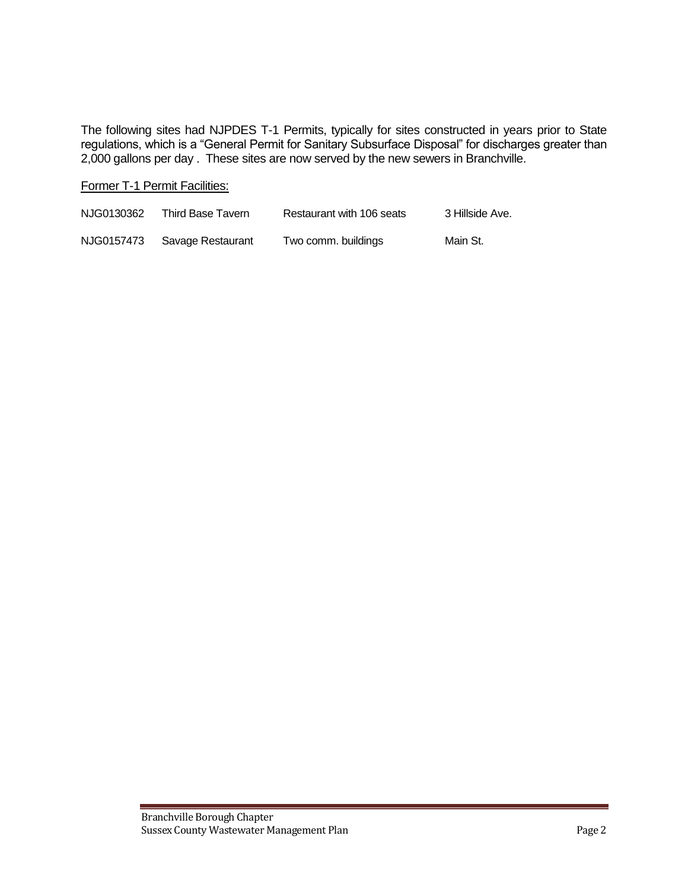The following sites had NJPDES T-1 Permits, typically for sites constructed in years prior to State regulations, which is a "General Permit for Sanitary Subsurface Disposal" for discharges greater than 2,000 gallons per day . These sites are now served by the new sewers in Branchville.

#### Former T-1 Permit Facilities:

| NJG0130362 | Third Base Tavern | Restaurant with 106 seats | 3 Hillside Ave. |
|------------|-------------------|---------------------------|-----------------|
| NJG0157473 | Savage Restaurant | Two comm. buildings       | Main St.        |